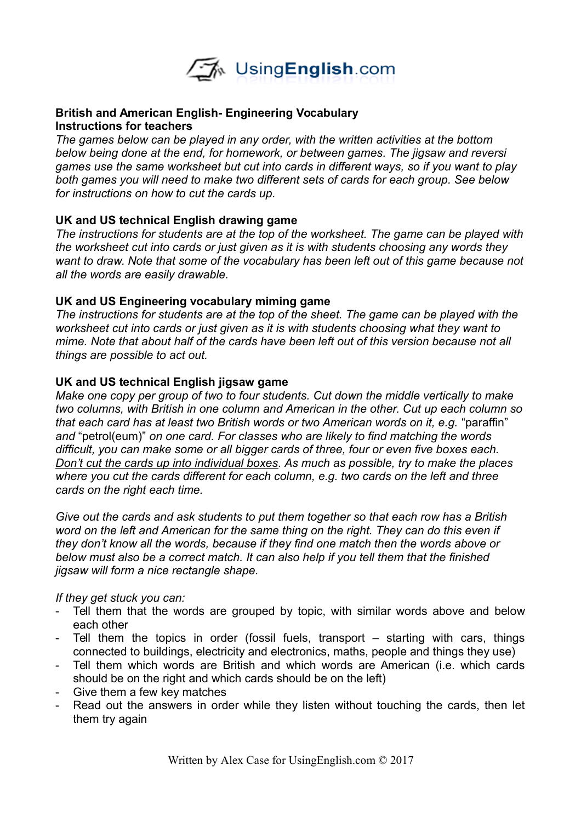

#### **British and American English- Engineering Vocabulary Instructions for teachers**

*The games below can be played in any order, with the written activities at the bottom below being done at the end, for homework, or between games. The jigsaw and reversi games use the same worksheet but cut into cards in different ways, so if you want to play both games you will need to make two different sets of cards for each group. See below for instructions on how to cut the cards up.*

#### **UK and US technical English drawing game**

*The instructions for students are at the top of the worksheet. The game can be played with the worksheet cut into cards or just given as it is with students choosing any words they want to draw. Note that some of the vocabulary has been left out of this game because not all the words are easily drawable.* 

## **UK and US Engineering vocabulary miming game**

*The instructions for students are at the top of the sheet. The game can be played with the worksheet cut into cards or just given as it is with students choosing what they want to mime. Note that about half of the cards have been left out of this version because not all things are possible to act out.* 

## **UK and US technical English jigsaw game**

*Make one copy per group of two to four students. Cut down the middle vertically to make two columns, with British in one column and American in the other. Cut up each column so that each card has at least two British words or two American words on it, e.g.* "paraffin" *and* "petrol(eum)" *on one card. For classes who are likely to find matching the words difficult, you can make some or all bigger cards of three, four or even five boxes each. Don't cut the cards up into individual boxes. As much as possible, try to make the places where you cut the cards different for each column, e.g. two cards on the left and three cards on the right each time.* 

*Give out the cards and ask students to put them together so that each row has a British word on the left and American for the same thing on the right. They can do this even if they don't know all the words, because if they find one match then the words above or below must also be a correct match. It can also help if you tell them that the finished jigsaw will form a nice rectangle shape.* 

*If they get stuck you can:*

- Tell them that the words are grouped by topic, with similar words above and below each other
- Tell them the topics in order (fossil fuels, transport starting with cars, things connected to buildings, electricity and electronics, maths, people and things they use)
- Tell them which words are British and which words are American (i.e. which cards should be on the right and which cards should be on the left)
- Give them a few key matches
- Read out the answers in order while they listen without touching the cards, then let them try again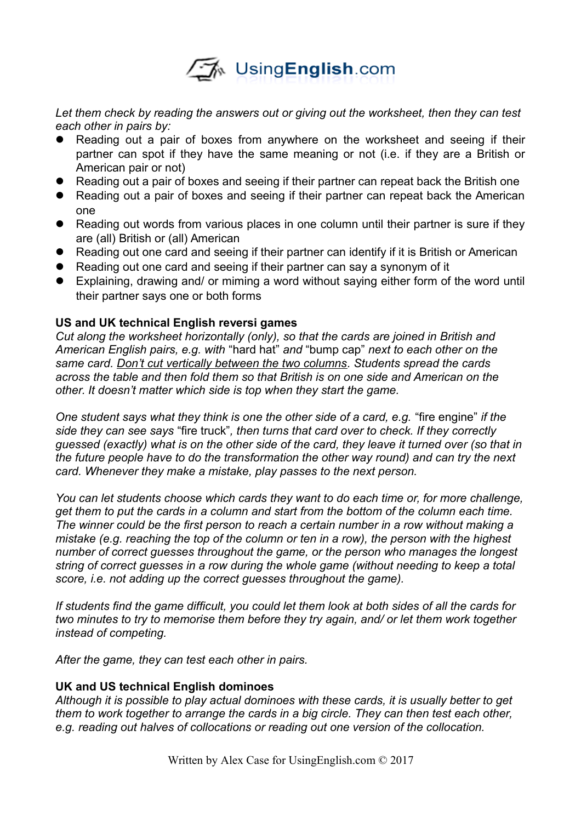

*Let them check by reading the answers out or giving out the worksheet, then they can test each other in pairs by:*

- Reading out a pair of boxes from anywhere on the worksheet and seeing if their partner can spot if they have the same meaning or not (i.e. if they are a British or American pair or not)
- Reading out a pair of boxes and seeing if their partner can repeat back the British one
- Reading out a pair of boxes and seeing if their partner can repeat back the American one
- Reading out words from various places in one column until their partner is sure if they are (all) British or (all) American
- Reading out one card and seeing if their partner can identify if it is British or American
- Reading out one card and seeing if their partner can say a synonym of it
- Explaining, drawing and/ or miming a word without saying either form of the word until their partner says one or both forms

## **US and UK technical English reversi games**

*Cut along the worksheet horizontally (only), so that the cards are joined in British and American English pairs, e.g. with* "hard hat" *and* "bump cap" *next to each other on the same card. Don't cut vertically between the two columns. Students spread the cards across the table and then fold them so that British is on one side and American on the other. It doesn't matter which side is top when they start the game.* 

*One student says what they think is one the other side of a card, e.g.* "fire engine" *if the side they can see says* "fire truck"*, then turns that card over to check. If they correctly guessed (exactly) what is on the other side of the card, they leave it turned over (so that in the future people have to do the transformation the other way round) and can try the next card. Whenever they make a mistake, play passes to the next person.* 

*You can let students choose which cards they want to do each time or, for more challenge, get them to put the cards in a column and start from the bottom of the column each time. The winner could be the first person to reach a certain number in a row without making a mistake (e.g. reaching the top of the column or ten in a row), the person with the highest number of correct guesses throughout the game, or the person who manages the longest string of correct guesses in a row during the whole game (without needing to keep a total score, i.e. not adding up the correct guesses throughout the game).* 

*If students find the game difficult, you could let them look at both sides of all the cards for two minutes to try to memorise them before they try again, and/ or let them work together instead of competing.* 

*After the game, they can test each other in pairs.* 

#### **UK and US technical English dominoes**

*Although it is possible to play actual dominoes with these cards, it is usually better to get them to work together to arrange the cards in a big circle. They can then test each other, e.g. reading out halves of collocations or reading out one version of the collocation.*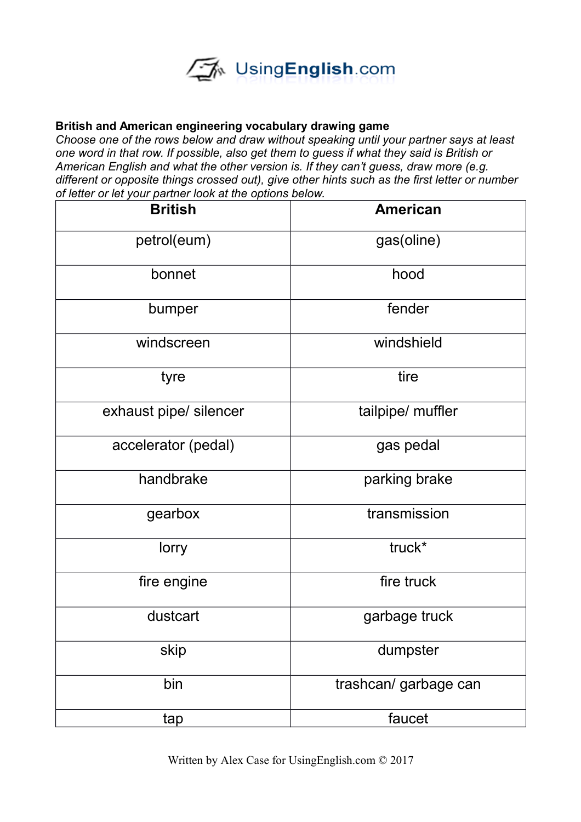

### **British and American engineering vocabulary drawing game**

*Choose one of the rows below and draw without speaking until your partner says at least one word in that row. If possible, also get them to guess if what they said is British or American English and what the other version is. If they can't guess, draw more (e.g. different or opposite things crossed out), give other hints such as the first letter or number of letter or let your partner look at the options below.* 

| <b>British</b>         | <b>American</b>       |
|------------------------|-----------------------|
| petrol(eum)            | gas(oline)            |
| bonnet                 | hood                  |
| bumper                 | fender                |
| windscreen             | windshield            |
| tyre                   | tire                  |
| exhaust pipe/ silencer | tailpipe/ muffler     |
| accelerator (pedal)    | gas pedal             |
| handbrake              | parking brake         |
| gearbox                | transmission          |
| lorry                  | truck*                |
| fire engine            | fire truck            |
| dustcart               | garbage truck         |
| skip                   | dumpster              |
| bin                    | trashcan/ garbage can |
| tap                    | faucet                |

Written by Alex Case for UsingEnglish.com © 2017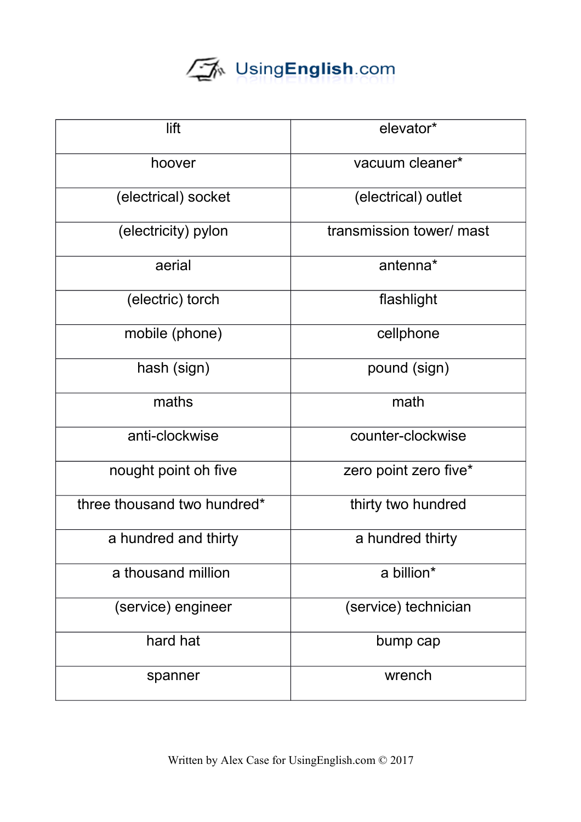# UsingEnglish.com

| lift                        | elevator*                |
|-----------------------------|--------------------------|
| hoover                      | vacuum cleaner*          |
| (electrical) socket         | (electrical) outlet      |
| (electricity) pylon         | transmission tower/ mast |
| aerial                      | antenna*                 |
| (electric) torch            | flashlight               |
| mobile (phone)              | cellphone                |
| hash (sign)                 | pound (sign)             |
| maths                       | math                     |
| anti-clockwise              | counter-clockwise        |
| nought point oh five        | zero point zero five*    |
| three thousand two hundred* | thirty two hundred       |
| a hundred and thirty        | a hundred thirty         |
| a thousand million          | a billion*               |
| (service) engineer          | (service) technician     |
| hard hat                    | bump cap                 |
| spanner                     | wrench                   |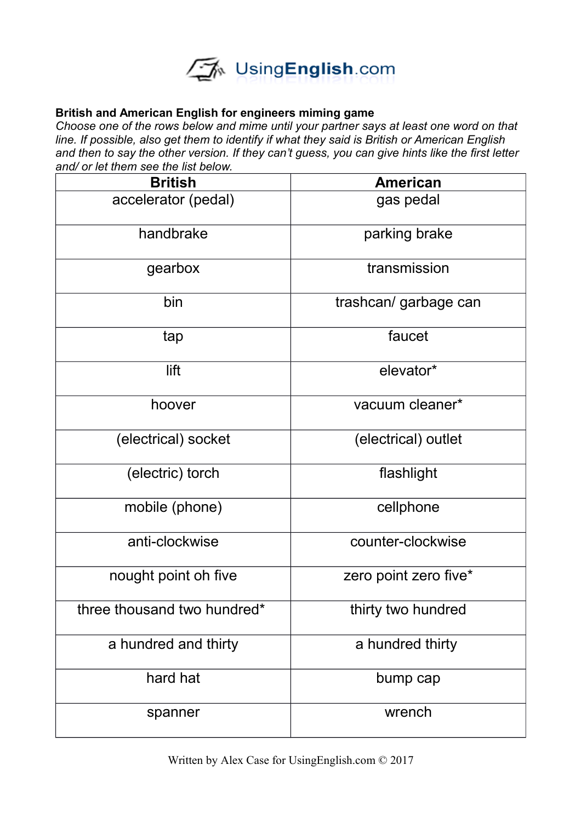

## **British and American English for engineers miming game**

*Choose one of the rows below and mime until your partner says at least one word on that line. If possible, also get them to identify if what they said is British or American English and then to say the other version. If they can't guess, you can give hints like the first letter and/ or let them see the list below.*

| <b>British</b>              | <b>American</b>       |
|-----------------------------|-----------------------|
| accelerator (pedal)         | gas pedal             |
| handbrake                   | parking brake         |
| gearbox                     | transmission          |
| bin                         | trashcan/garbage can  |
| tap                         | faucet                |
| lift                        | elevator*             |
| hoover                      | vacuum cleaner*       |
| (electrical) socket         | (electrical) outlet   |
| (electric) torch            | flashlight            |
| mobile (phone)              | cellphone             |
| anti-clockwise              | counter-clockwise     |
| nought point oh five        | zero point zero five* |
| three thousand two hundred* | thirty two hundred    |
| a hundred and thirty        | a hundred thirty      |
| hard hat                    | bump cap              |
| spanner                     | wrench                |

Written by Alex Case for UsingEnglish.com © 2017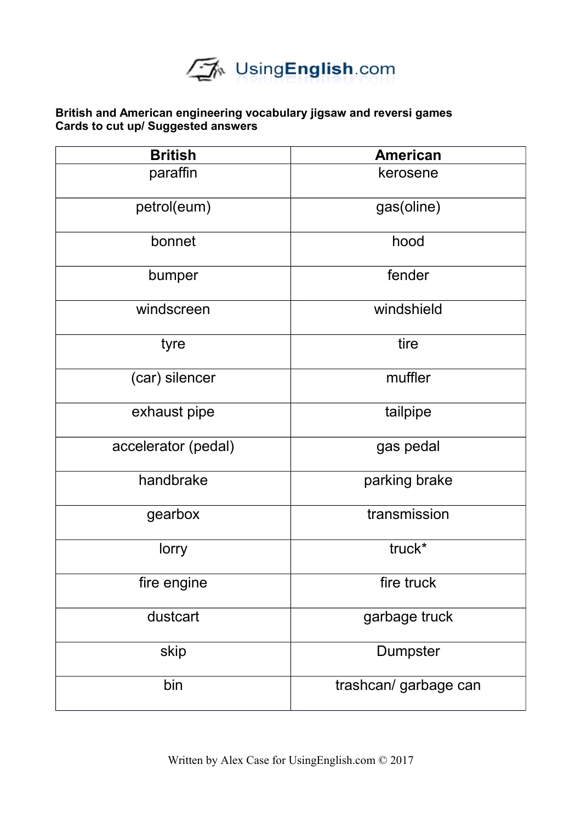

### **British and American engineering vocabulary jigsaw and reversi games Cards to cut up/ Suggested answers**

| <b>British</b>      | <b>American</b>       |
|---------------------|-----------------------|
| paraffin            | kerosene              |
| petrol(eum)         | gas(oline)            |
| bonnet              | hood                  |
| bumper              | fender                |
| windscreen          | windshield            |
| tyre                | tire                  |
| (car) silencer      | muffler               |
| exhaust pipe        | tailpipe              |
| accelerator (pedal) | gas pedal             |
| handbrake           | parking brake         |
| gearbox             | transmission          |
| lorry               | truck*                |
| fire engine         | fire truck            |
| dustcart            | garbage truck         |
| skip                | Dumpster              |
| bin                 | trashcan/ garbage can |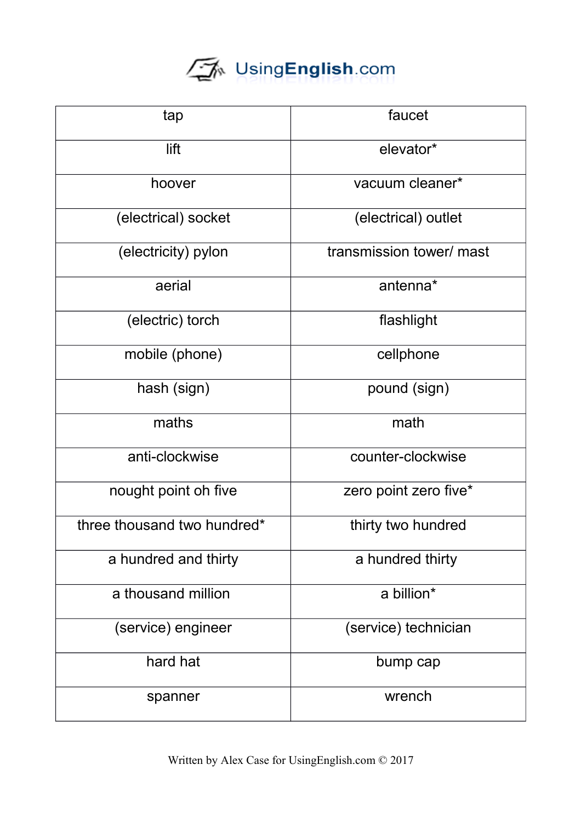# UsingEnglish.com

| tap                         | faucet                   |
|-----------------------------|--------------------------|
| lift                        | elevator*                |
| hoover                      | vacuum cleaner*          |
| (electrical) socket         | (electrical) outlet      |
| (electricity) pylon         | transmission tower/ mast |
| aerial                      | antenna*                 |
| (electric) torch            | flashlight               |
| mobile (phone)              | cellphone                |
| hash (sign)                 | pound (sign)             |
| maths                       | math                     |
| anti-clockwise              | counter-clockwise        |
| nought point oh five        | zero point zero five*    |
| three thousand two hundred* | thirty two hundred       |
| a hundred and thirty        | a hundred thirty         |
| a thousand million          | a billion*               |
| (service) engineer          | (service) technician     |
| hard hat                    | bump cap                 |
| spanner                     | wrench                   |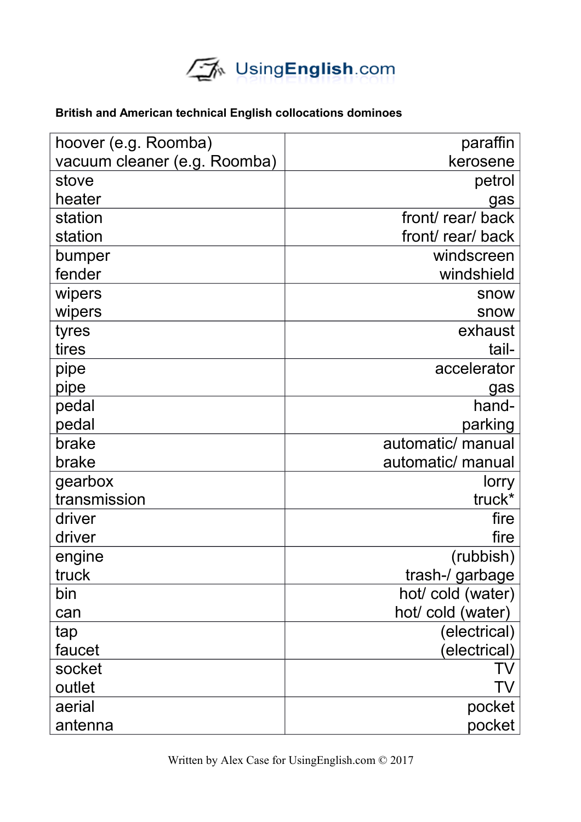

# **British and American technical English collocations dominoes**

| hoover (e.g. Roomba)         | paraffin          |
|------------------------------|-------------------|
| vacuum cleaner (e.g. Roomba) | kerosene          |
| stove                        | petrol            |
| heater                       | gas               |
| station                      | front/rear/back   |
| station                      | front/rear/back   |
| bumper                       | windscreen        |
| fender                       | windshield        |
| wipers                       | snow              |
| wipers                       | snow              |
| tyres                        | exhaust           |
| tires                        | tail-             |
| pipe                         | accelerator       |
| pipe                         | gas               |
| pedal                        | hand-             |
| pedal                        | parking           |
| brake                        | automatic/ manual |
| brake                        | automatic/ manual |
| gearbox                      | lorry             |
| transmission                 | truck*            |
| driver                       | fire              |
| driver                       | fire              |
| engine                       | (rubbish)         |
| truck                        | trash-/ garbage   |
| bin                          | hot/cold (water)  |
| can                          | hot/ cold (water) |
| tap                          | (electrical)      |
| faucet                       | (electrical)      |
| socket                       | TV                |
| outlet                       | TV                |
| aerial                       | pocket            |
| antenna                      | pocket            |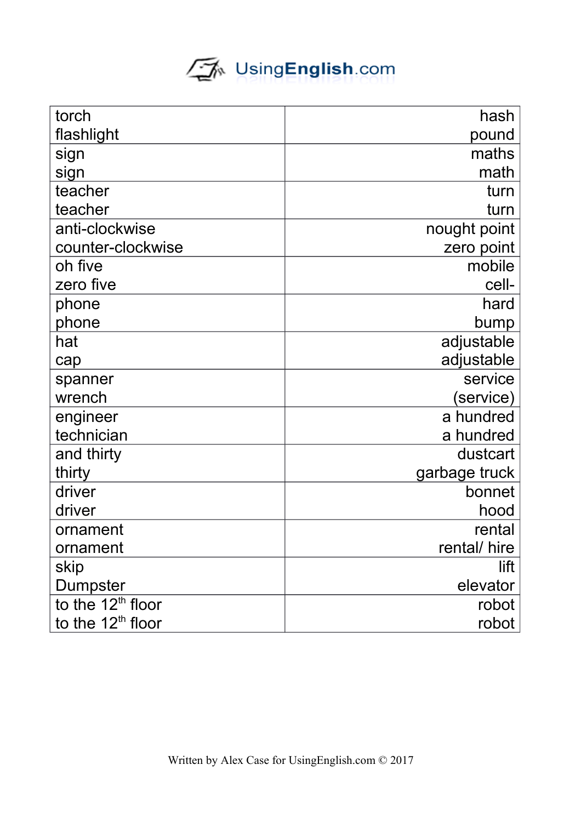# UsingEnglish.com

| torch                         | hash          |
|-------------------------------|---------------|
| flashlight                    | pound         |
| sign                          | maths         |
| sign                          | math          |
| teacher                       | turn          |
| teacher                       | turn          |
| anti-clockwise                | nought point  |
| counter-clockwise             | zero point    |
| oh five                       | mobile        |
| zero five                     | cell-         |
| phone                         | hard          |
| phone                         | bump          |
| hat                           | adjustable    |
| cap                           | adjustable    |
| spanner                       | service       |
| wrench                        | (service)     |
| engineer                      | a hundred     |
| technician                    | a hundred     |
| and thirty                    | dustcart      |
| thirty                        | garbage truck |
| driver                        | bonnet        |
| driver                        | hood          |
| ornament                      | rental        |
| ornament                      | rental/ hire  |
| skip                          | lift          |
| Dumpster                      | elevator      |
| to the 12 <sup>th</sup> floor | robot         |
| to the $12th$ floor           | robot         |
|                               |               |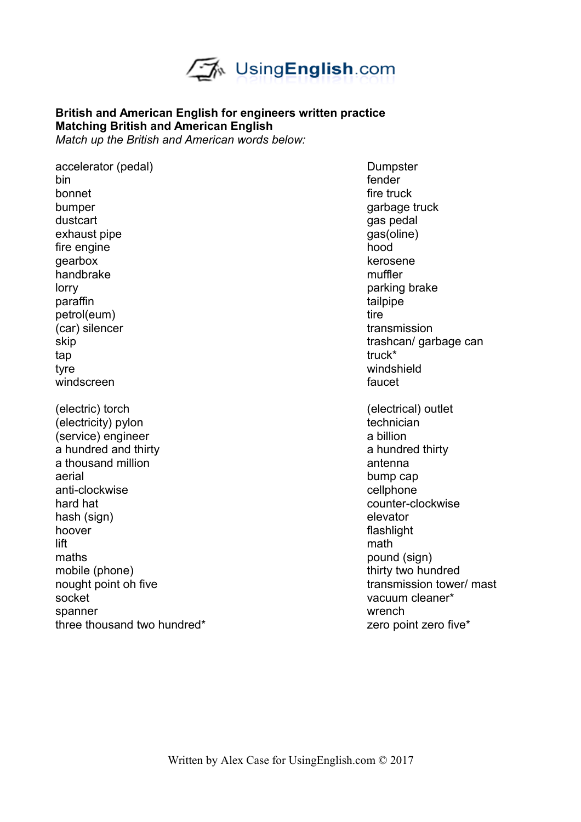

# **British and American English for engineers written practice Matching British and American English**

*Match up the British and American words below:*

accelerator (pedal) accelerator (pedal) bin fender and the state of the state of the state of the state of the state of the state of the state of the bonnet the set of the set of the set of the set of the set of the set of the set of the set of the set of the set of the set of the set of the set of the set of the set of the set of the set of the set of the set of the se bumper garbage truck dustcart dust and the control of the control of the control of the control of the control of the control of the control of the control of the control of the control of the control of the control of the control of the contr exhaust pipe gas (oline) gas (oline) fire engine hood gearbox kerosene handbrake muffler lorry **parking brake** paraffin tailpipe petrol(eum) tire (car) silencer transmission skip trashcan/ garbage can tap truck\* truck\* truck\* truck\* truck\* truck\* truck\* truck\* truck\* truck\* truck\* tyre windshield windscreen **faucet** (electric) torch (electrical) outlet (electricity) pylon technician (service) engineer a billion a hundred and thirty a hundred thirty a hundred thirty a thousand million antenna antenna antenna antenna antenna antenna antenna antenna antenna antenna antenna antenna antenna antenna antenna antenna antenna antenna antenna antenna antenna antenna antenna antenna antenna ant aerial bump cap anti-clockwise cellphone hard hat counter-clockwise hash (sign) elevator hoover **flashlight** lift mathematic method is a state of the state of the mathematic method is a state of the mathematic method is maths pound (sign) mobile (phone) thirty two hundred nought point oh five transmission tower/ mast socket vacuum cleaner\* spanner wrench with the spanner wrench with the spanner wrench with the spanner wrench with the spanner wrench three thousand two hundred\* **zero** point zero five\*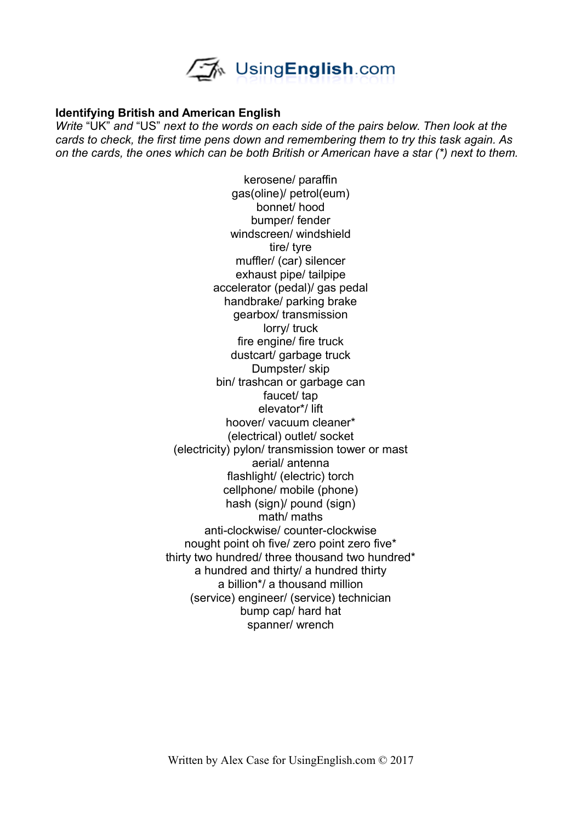

#### **Identifying British and American English**

*Write* "UK" *and* "US" *next to the words on each side of the pairs below. Then look at the cards to check, the first time pens down and remembering them to try this task again. As on the cards, the ones which can be both British or American have a star (\*) next to them.*

> kerosene/ paraffin gas(oline)/ petrol(eum) bonnet/ hood bumper/ fender windscreen/ windshield tire/ tyre muffler/ (car) silencer exhaust pipe/ tailpipe accelerator (pedal)/ gas pedal handbrake/ parking brake gearbox/ transmission lorry/ truck fire engine/ fire truck dustcart/ garbage truck Dumpster/ skip bin/ trashcan or garbage can faucet/ tap elevator\*/ lift hoover/ vacuum cleaner\* (electrical) outlet/ socket (electricity) pylon/ transmission tower or mast aerial/ antenna flashlight/ (electric) torch cellphone/ mobile (phone) hash (sign)/ pound (sign) math/ maths anti-clockwise/ counter-clockwise nought point oh five/ zero point zero five\* thirty two hundred/ three thousand two hundred\* a hundred and thirty/ a hundred thirty a billion\*/ a thousand million (service) engineer/ (service) technician bump cap/ hard hat spanner/ wrench